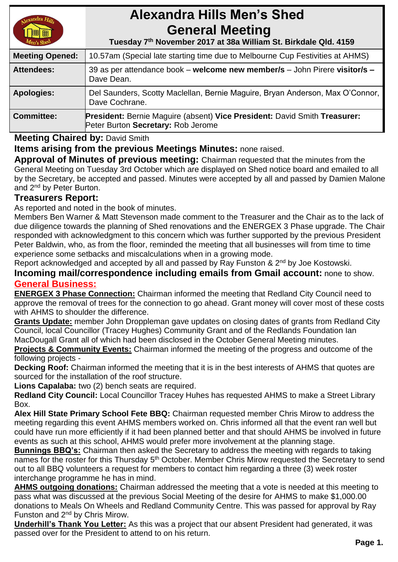# **Alexandra Hills Men's Shed General Meeting**

 **Tuesday 7 th November 2017 at 38a William St. Birkdale Qld. 4159** 

| <b>Meeting Opened:</b> | 10.57am (Special late starting time due to Melbourne Cup Festivities at AHMS)                                          |  |
|------------------------|------------------------------------------------------------------------------------------------------------------------|--|
| <b>Attendees:</b>      | 39 as per attendance book – welcome new member/s – John Pirere visitor/s –<br>Dave Dean.                               |  |
| <b>Apologies:</b>      | Del Saunders, Scotty Maclellan, Bernie Maguire, Bryan Anderson, Max O'Connor,<br>Dave Cochrane.                        |  |
| <b>Committee:</b>      | <b>President: Bernie Maguire (absent) Vice President: David Smith Treasurer:</b><br>Peter Burton Secretary: Rob Jerome |  |

# **Meeting Chaired by:** David Smith

**Items arising from the previous Meetings Minutes:** none raised.

**Approval of Minutes of previous meeting:** Chairman requested that the minutes from the General Meeting on Tuesday 3rd October which are displayed on Shed notice board and emailed to all by the Secretary, be accepted and passed. Minutes were accepted by all and passed by Damien Malone and 2<sup>nd</sup> by Peter Burton.

## **Treasurers Report:**

As reported and noted in the book of minutes.

Members Ben Warner & Matt Stevenson made comment to the Treasurer and the Chair as to the lack of due diligence towards the planning of Shed renovations and the ENERGEX 3 Phase upgrade. The Chair responded with acknowledgment to this concern which was further supported by the previous President Peter Baldwin, who, as from the floor, reminded the meeting that all businesses will from time to time experience some setbacks and miscalculations when in a growing mode.

Report acknowledged and accepted by all and passed by Ray Funston & 2<sup>nd</sup> by Joe Kostowski.

**Incoming mail/correspondence including emails from Gmail account:** none to show. **General Business:**

**ENERGEX 3 Phase Connection:** Chairman informed the meeting that Redland City Council need to approve the removal of trees for the connection to go ahead. Grant money will cover most of these costs with AHMS to shoulder the difference.

**Grants Update:** member John Droppleman gave updates on closing dates of grants from Redland City Council, local Councillor (Tracey Hughes) Community Grant and of the Redlands Foundation Ian MacDougall Grant all of which had been disclosed in the October General Meeting minutes.

**Projects & Community Events:** Chairman informed the meeting of the progress and outcome of the following projects -

**Decking Roof:** Chairman informed the meeting that it is in the best interests of AHMS that quotes are sourced for the installation of the roof structure.

**Lions Capalaba:** two (2) bench seats are required.

**Redland City Council:** Local Councillor Tracey Huhes has requested AHMS to make a Street Library Box.

**Alex Hill State Primary School Fete BBQ:** Chairman requested member Chris Mirow to address the meeting regarding this event AHMS members worked on. Chris informed all that the event ran well but could have run more efficiently if it had been planned better and that should AHMS be involved in future events as such at this school, AHMS would prefer more involvement at the planning stage.

**Bunnings BBQ's:** Chairman then asked the Secretary to address the meeting with regards to taking names for the roster for this Thursday 5<sup>th</sup> October. Member Chris Mirow requested the Secretary to send out to all BBQ volunteers a request for members to contact him regarding a three (3) week roster interchange programme he has in mind.

**AHMS outgoing donations:** Chairman addressed the meeting that a vote is needed at this meeting to pass what was discussed at the previous Social Meeting of the desire for AHMS to make \$1,000.00 donations to Meals On Wheels and Redland Community Centre. This was passed for approval by Ray Funston and 2<sup>nd</sup> by Chris Mirow.

**Underhill's Thank You Letter:** As this was a project that our absent President had generated, it was passed over for the President to attend to on his return.